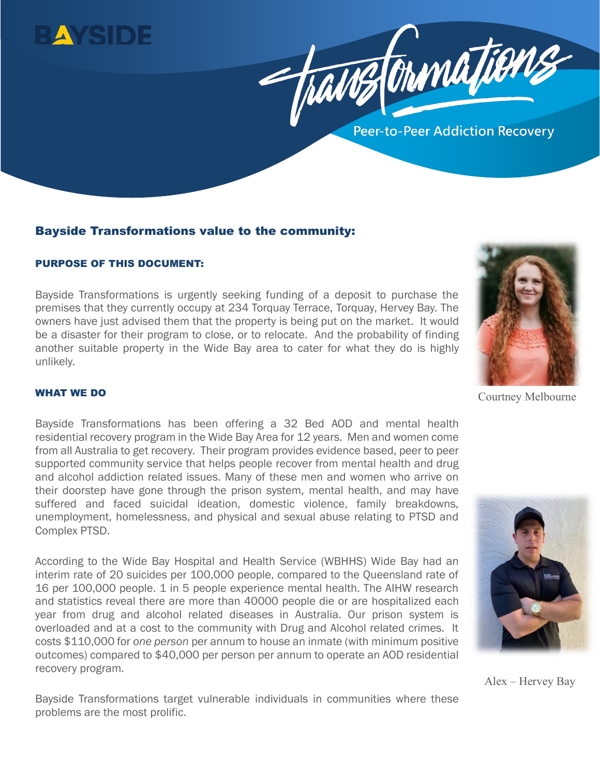



# Bayside Transformations value to the community:

### PURPOSE OF THIS DOCUMENT:

Bayside Transformations is urgently seeking funding of a deposit to purchase the premises that they currently occupy at 234 Torquay Terrace, Torquay, Hervey Bay. The owners have just advised them that the property is being put on the market. It would be a disaster for their program to close, or to relocate. And the probability of finding another suitable property in the Wide Bay area to cater for what they do is highly unlikely.



Courtney Melbourne

# WHAT WE DO

l

Bayside Transformations has been offering a 32 Bed AOD and mental health residential recovery program in the Wide Bay Area for 12 years. Men and women come from all Australia to get recovery. Their program provides evidence based, peer to peer supported community service that helps people recover from mental health and drug and alcohol addiction related issues. Many of these men and women who arrive on their doorstep have gone through the prison system, mental health, and may have suffered and faced suicidal ideation, domestic violence, family breakdowns, unemployment, homelessness, and physical and sexual abuse relating to PTSD and Complex PTSD.

According to the Wide Bay Hospital and Health Service (WBHHS) Wide Bay had an interim rate of 20 suicides per 100,000 people, compared to the Queensland rate of 16 per 100,000 people. 1 in 5 people experience mental health. The AIHW research and statistics reveal there are more than 40000 people die or are hospitalized each year from drug and alcohol related diseases in Australia. Our prison system is overloaded and at a cost to the community with Drug and Alcohol related crimes. It costs \$110,000 for *one person* per annum to house an inmate (with minimum positive outcomes) compared to \$40,000 per person per annum to operate an AOD residential recovery program.



Alex – Hervey Bay

Bayside Transformations target vulnerable individuals in communities where these problems are the most prolific.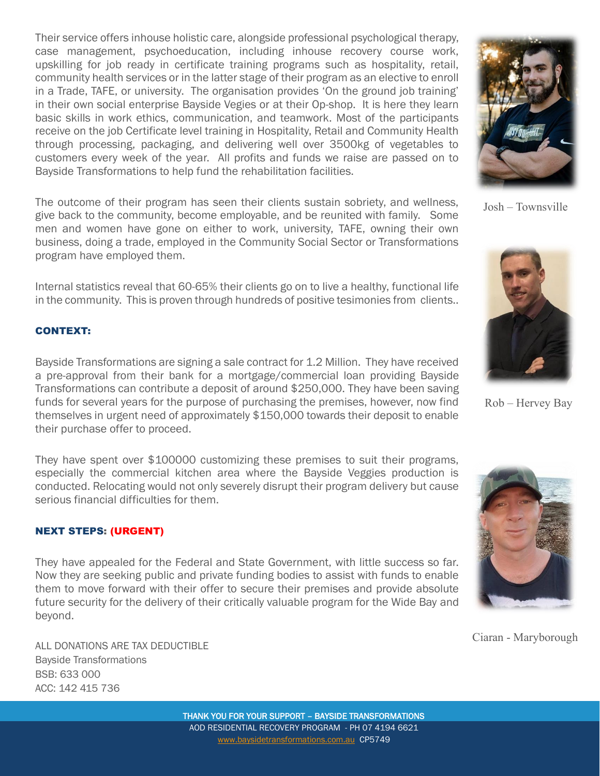Their service offers inhouse holistic care, alongside professional psychological therapy, case management, psychoeducation, including inhouse recovery course work, upskilling for job ready in certificate training programs such as hospitality, retail, community health services or in the latter stage of their program as an elective to enroll in a Trade, TAFE, or university. The organisation provides 'On the ground job training' in their own social enterprise Bayside Vegies or at their Op-shop. It is here they learn basic skills in work ethics, communication, and teamwork. Most of the participants receive on the job Certificate level training in Hospitality, Retail and Community Health through processing, packaging, and delivering well over 3500kg of vegetables to customers every week of the year. All profits and funds we raise are passed on to Bayside Transformations to help fund the rehabilitation facilities.

The outcome of their program has seen their clients sustain sobriety, and wellness, give back to the community, become employable, and be reunited with family. Some men and women have gone on either to work, university, TAFE, owning their own business, doing a trade, employed in the Community Social Sector or Transformations program have employed them.

Internal statistics reveal that 60-65% their clients go on to live a healthy, functional life in the community. This is proven through hundreds of positive tesimonies from clients..

## CONTEXT:

Bayside Transformations are signing a sale contract for 1.2 Million. They have received a pre-approval from their bank for a mortgage/commercial loan providing Bayside Transformations can contribute a deposit of around \$250,000. They have been saving funds for several years for the purpose of purchasing the premises, however, now find themselves in urgent need of approximately \$150,000 towards their deposit to enable their purchase offer to proceed.

They have spent over \$100000 customizing these premises to suit their programs, especially the commercial kitchen area where the Bayside Veggies production is conducted. Relocating would not only severely disrupt their program delivery but cause serious financial difficulties for them.

### NEXT STEPS: (URGENT)

They have appealed for the Federal and State Government, with little success so far. Now they are seeking public and private funding bodies to assist with funds to enable them to move forward with their offer to secure their premises and provide absolute future security for the delivery of their critically valuable program for the Wide Bay and beyond.

ALL DONATIONS ARE TAX DEDUCTIBLE Bayside Transformations BSB: 633 000 ACC: 142 415 736





Rob – Hervey Bay



Ciaran - Maryborough